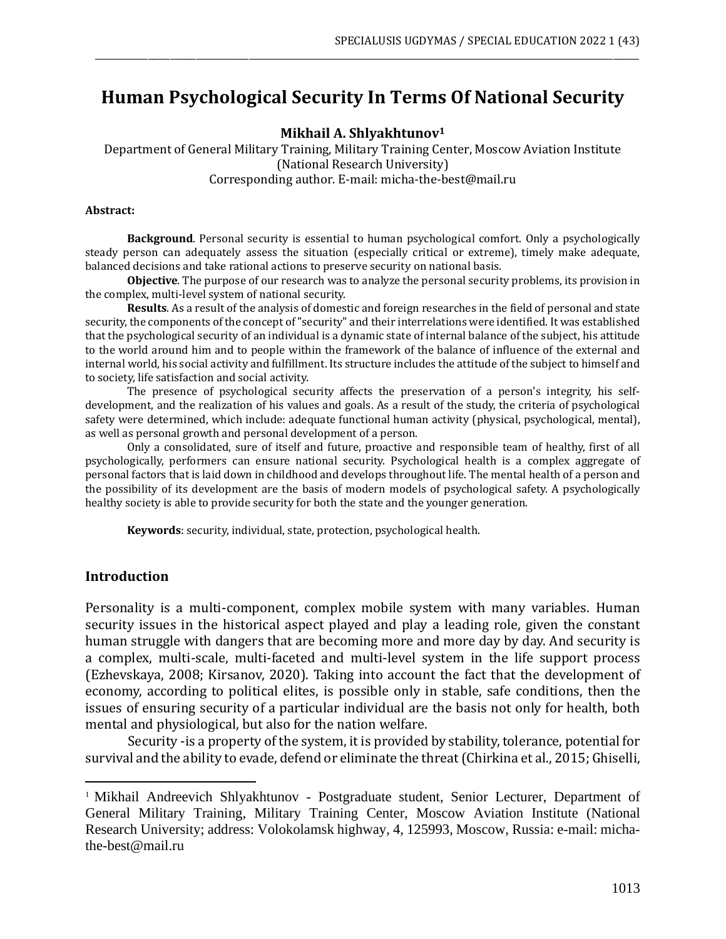# **Human Psychological Security In Terms Of National Security**

\_\_\_\_\_\_\_\_\_\_\_\_\_\_\_\_\_\_\_\_\_\_\_\_\_\_\_\_\_\_\_\_\_\_\_\_\_\_\_\_\_\_\_\_\_\_\_\_\_\_\_\_\_\_\_\_\_\_\_\_\_\_\_\_\_\_\_\_\_\_\_\_\_\_\_\_\_\_\_\_\_\_\_\_\_\_\_\_\_\_\_\_\_\_\_\_\_\_\_\_\_\_\_\_\_\_\_\_\_\_\_\_\_\_\_\_\_\_\_\_\_\_\_\_

**Mikhail A. Shlyakhtunov<sup>1</sup>**

Department of General Military Training, Military Training Center, Moscow Aviation Institute (National Research University) Corresponding author. E-mail: micha-the-best@mail.ru

#### **Abstract:**

**Background**. Personal security is essential to human psychological comfort. Only a psychologically steady person can adequately assess the situation (especially critical or extreme), timely make adequate, balanced decisions and take rational actions to preserve security on national basis.

**Objective**. The purpose of our research was to analyze the personal security problems, its provision in the complex, multi-level system of national security.

**Results**. As a result of the analysis of domestic and foreign researches in the field of personal and state security, the components of the concept of"security" and their interrelations were identified. It was established that the psychological security of an individual is a dynamic state of internal balance of the subject, his attitude to the world around him and to people within the framework of the balance of influence of the external and internal world, his social activity and fulfillment. Its structure includes the attitude of the subject to himself and to society, life satisfaction and social activity.

The presence of psychological security affects the preservation of a person's integrity, his selfdevelopment, and the realization of his values and goals. As a result of the study, the criteria of psychological safety were determined, which include: adequate functional human activity (physical, psychological, mental), as well as personal growth and personal development of a person.

Only a consolidated, sure of itself and future, proactive and responsible team of healthy, first of all psychologically, performers can ensure national security. Psychological health is a complex aggregate of personal factors that is laid down in childhood and develops throughout life. The mental health of a person and the possibility of its development are the basis of modern models of psychological safety. A psychologically healthy society is able to provide security for both the state and the younger generation.

**Keywords**: security, individual, state, protection, psychological health.

#### **Introduction**

Personality is a multi-component, complex mobile system with many variables. Human security issues in the historical aspect played and play a leading role, given the constant human struggle with dangers that are becoming more and more day by day. And security is a complex, multi-scale, multi-faceted and multi-level system in the life support process (Ezhevskaya, 2008; Kirsanov, 2020). Taking into account the fact that the development of economy, according to political elites, is possible only in stable, safe conditions, then the issues of ensuring security of a particular individual are the basis not only for health, both mental and physiological, but also for the nation welfare.

Security -is a property of the system, it is provided by stability, tolerance, potential for survival and the ability to evade, defend or eliminate the threat(Chirkina et al., 2015; Ghiselli,

<sup>&</sup>lt;sup>1</sup> Mikhail Andreevich Shlyakhtunov - Postgraduate student, Senior Lecturer, Department of General Military Training, Military Training Center, Moscow Aviation Institute (National Research University; address: Volokolamsk highway, 4, 125993, Moscow, Russia: e-mail: michathe-best@mail.ru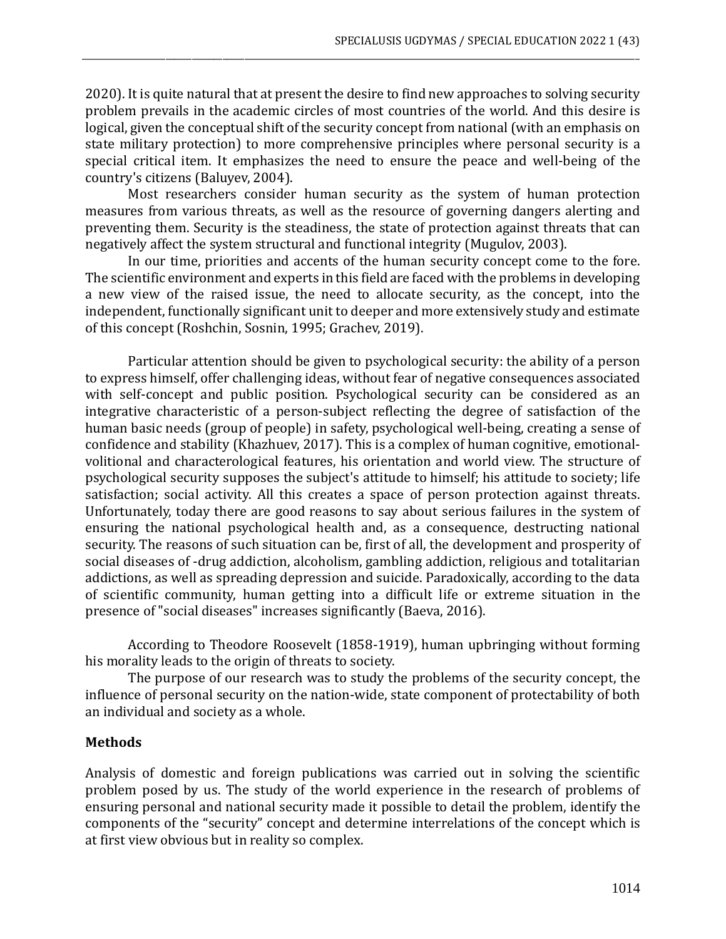2020). It is quite natural that at present the desire to find new approaches to solving security problem prevails in the academic circles of most countries of the world. And this desire is logical, given the conceptual shift of the security concept from national (with an emphasis on state military protection) to more comprehensive principles where personal security is a special critical item. It emphasizes the need to ensure the peace and well-being of the country's citizens (Baluyev, 2004).

\_\_\_\_\_\_\_\_\_\_\_\_\_\_\_\_\_\_\_\_\_\_\_\_\_\_\_\_\_\_\_\_\_\_\_\_\_\_\_\_\_\_\_\_\_\_\_\_\_\_\_\_\_\_\_\_\_\_\_\_\_\_\_\_\_\_\_\_\_\_\_\_\_\_\_\_\_\_\_\_\_\_\_\_\_\_\_\_\_\_\_\_\_\_\_\_\_\_\_\_\_\_\_\_\_\_\_\_\_\_\_\_\_\_\_\_\_\_\_\_\_\_\_\_\_\_\_

Most researchers consider human security as the system of human protection measures from various threats, as well as the resource of governing dangers alerting and preventing them. Security is the steadiness, the state of protection against threats that can negatively affect the system structural and functional integrity (Mugulov, 2003).

In our time, priorities and accents of the human security concept come to the fore. The scientific environment and experts in this field are faced with the problems in developing a new view of the raised issue, the need to allocate security, as the concept, into the independent, functionally significant unit to deeper and more extensively study and estimate of this concept (Roshchin, Sosnin, 1995; Grachev, 2019).

Particular attention should be given to psychological security: the ability of a person to express himself, offer challenging ideas, without fear of negative consequences associated with self-concept and public position. Psychological security can be considered as an integrative characteristic of a person-subject reflecting the degree of satisfaction of the human basic needs (group of people) in safety, psychological well-being, creating a sense of confidence and stability (Khazhuev, 2017). This is a complex of human cognitive, emotionalvolitional and characterological features, his orientation and world view. The structure of psychological security supposes the subject's attitude to himself; his attitude to society; life satisfaction; social activity. All this creates a space of person protection against threats. Unfortunately, today there are good reasons to say about serious failures in the system of ensuring the national psychological health and, as a consequence, destructing national security. The reasons of such situation can be, first of all, the development and prosperity of social diseases of -drug addiction, alcoholism, gambling addiction, religious and totalitarian addictions, as well as spreading depression and suicide. Paradoxically, according to the data of scientific community, human getting into a difficult life or extreme situation in the presence of "social diseases" increases significantly (Baeva, 2016).

According to Theodore Roosevelt (1858-1919), human upbringing without forming his morality leads to the origin of threats to society.

The purpose of our research was to study the problems of the security concept, the influence of personal security on the nation-wide, state component of protectability of both an individual and society as a whole.

#### **Methods**

Analysis of domestic and foreign publications was carried out in solving the scientific problem posed by us. The study of the world experience in the research of problems of ensuring personal and national security made it possible to detail the problem, identify the components of the "security" concept and determine interrelations of the concept which is at first view obvious but in reality so complex.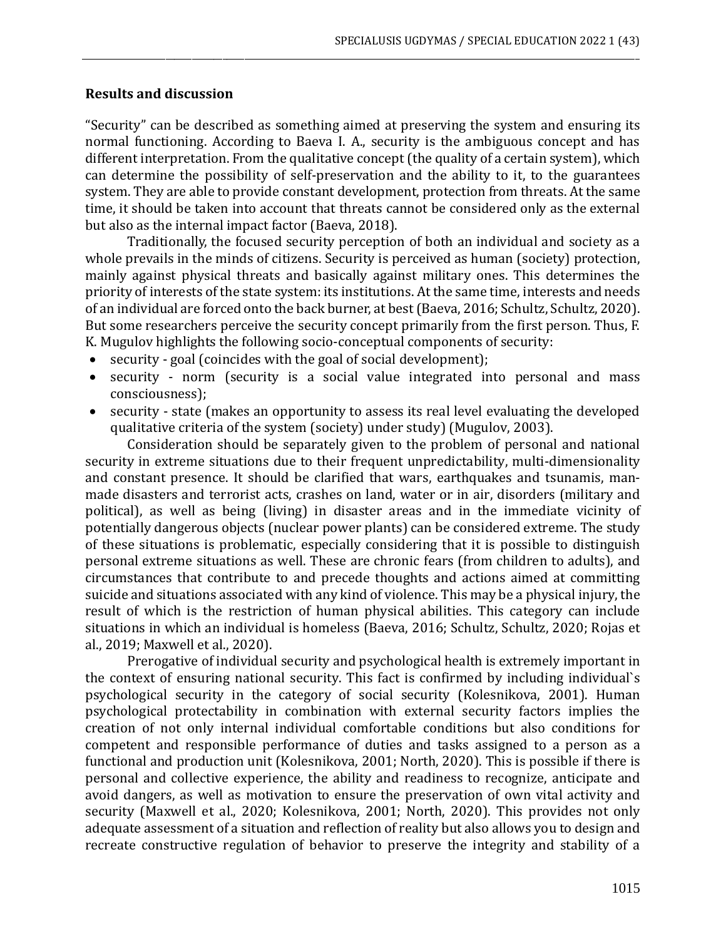#### **Results and discussion**

"Security" can be described as something aimed at preserving the system and ensuring its normal functioning. According to Baeva I. A., security is the ambiguous concept and has different interpretation. From the qualitative concept (the quality of a certain system), which can determine the possibility of self-preservation and the ability to it, to the guarantees system. They are able to provide constant development, protection from threats. At the same time, it should be taken into account that threats cannot be considered only as the external but also as the internal impact factor (Baeva, 2018).

\_\_\_\_\_\_\_\_\_\_\_\_\_\_\_\_\_\_\_\_\_\_\_\_\_\_\_\_\_\_\_\_\_\_\_\_\_\_\_\_\_\_\_\_\_\_\_\_\_\_\_\_\_\_\_\_\_\_\_\_\_\_\_\_\_\_\_\_\_\_\_\_\_\_\_\_\_\_\_\_\_\_\_\_\_\_\_\_\_\_\_\_\_\_\_\_\_\_\_\_\_\_\_\_\_\_\_\_\_\_\_\_\_\_\_\_\_\_\_\_\_\_\_\_\_\_\_

Traditionally, the focused security perception of both an individual and society as a whole prevails in the minds of citizens. Security is perceived as human (society) protection, mainly against physical threats and basically against military ones. This determines the priority of interests of the state system: its institutions. At the same time, interests and needs of an individual are forced onto the back burner, at best (Baeva, 2016; Schultz, Schultz, 2020). But some researchers perceive the security concept primarily from the first person. Thus, F. K. Mugulov highlights the following socio-conceptual components of security:

- security goal (coincides with the goal of social development);
- security norm (security is a social value integrated into personal and mass consciousness);
- security state (makes an opportunity to assess its real level evaluating the developed qualitative criteria of the system (society) under study) (Mugulov, 2003).

Consideration should be separately given to the problem of personal and national security in extreme situations due to their frequent unpredictability, multi-dimensionality and constant presence. It should be clarified that wars, earthquakes and tsunamis, manmade disasters and terrorist acts, crashes on land, water or in air, disorders (military and political), as well as being (living) in disaster areas and in the immediate vicinity of potentially dangerous objects (nuclear power plants) can be considered extreme. The study of these situations is problematic, especially considering that it is possible to distinguish personal extreme situations as well. These are chronic fears (from children to adults), and circumstances that contribute to and precede thoughts and actions aimed at committing suicide and situations associated with any kind of violence. This may be a physical injury, the result of which is the restriction of human physical abilities. This category can include situations in which an individual is homeless (Baeva, 2016; Schultz, Schultz, 2020; Rojas et al., 2019; Maxwell et al., 2020).

Prerogative of individual security and psychological health is extremely important in the context of ensuring national security. This fact is confirmed by including individual`s psychological security in the category of social security (Kolesnikova, 2001). Human psychological protectability in combination with external security factors implies the creation of not only internal individual comfortable conditions but also conditions for competent and responsible performance of duties and tasks assigned to a person as a functional and production unit (Kolesnikova, 2001; North, 2020). This is possible if there is personal and collective experience, the ability and readiness to recognize, anticipate and avoid dangers, as well as motivation to ensure the preservation of own vital activity and security (Maxwell et al., 2020; Kolesnikova, 2001; North, 2020). This provides not only adequate assessment of a situation and reflection of reality but also allows you to design and recreate constructive regulation of behavior to preserve the integrity and stability of a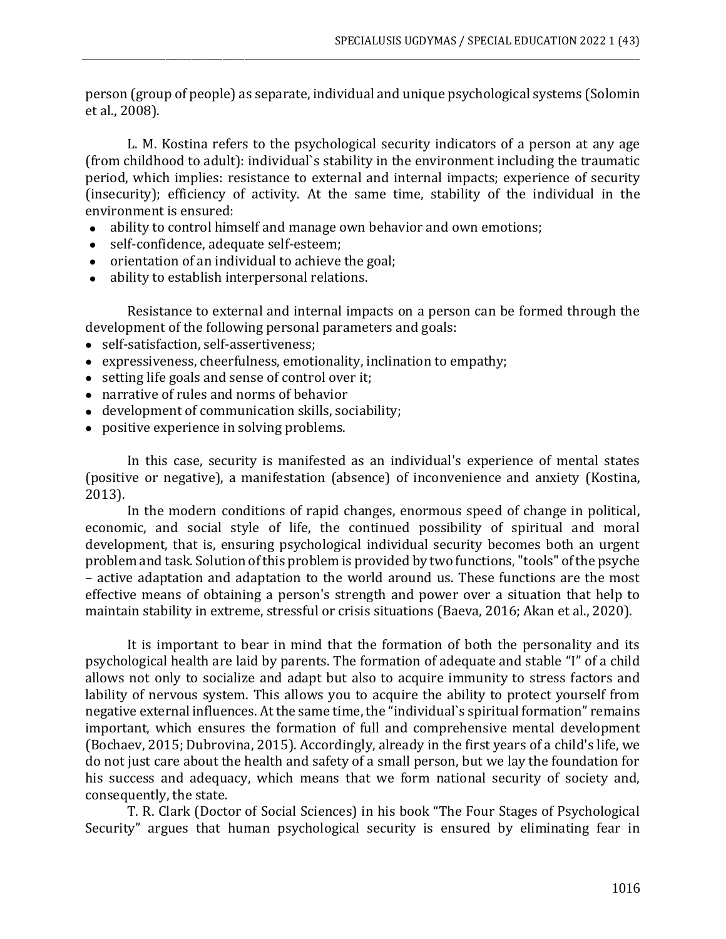person (group of people) as separate, individual and unique psychological systems (Solomin et al., 2008).

\_\_\_\_\_\_\_\_\_\_\_\_\_\_\_\_\_\_\_\_\_\_\_\_\_\_\_\_\_\_\_\_\_\_\_\_\_\_\_\_\_\_\_\_\_\_\_\_\_\_\_\_\_\_\_\_\_\_\_\_\_\_\_\_\_\_\_\_\_\_\_\_\_\_\_\_\_\_\_\_\_\_\_\_\_\_\_\_\_\_\_\_\_\_\_\_\_\_\_\_\_\_\_\_\_\_\_\_\_\_\_\_\_\_\_\_\_\_\_\_\_\_\_\_\_\_\_

L. M. Kostina refers to the psychological security indicators of a person at any age (from childhood to adult): individual`s stability in the environment including the traumatic period, which implies: resistance to external and internal impacts; experience of security (insecurity); efficiency of activity. At the same time, stability of the individual in the environment is ensured:

- ability to control himself and manage own behavior and own emotions;
- self-confidence, adequate self-esteem;
- orientation of an individual to achieve the goal;
- ability to establish interpersonal relations.

Resistance to external and internal impacts on a person can be formed through the development of the following personal parameters and goals:

- self-satisfaction, self-assertiveness;
- expressiveness, cheerfulness, emotionality, inclination to empathy;
- setting life goals and sense of control over it;
- narrative of rules and norms of behavior
- development of communication skills, sociability;
- positive experience in solving problems.

In this case, security is manifested as an individual's experience of mental states (positive or negative), a manifestation (absence) of inconvenience and anxiety (Kostina, 2013).

In the modern conditions of rapid changes, enormous speed of change in political, economic, and social style of life, the continued possibility of spiritual and moral development, that is, ensuring psychological individual security becomes both an urgent problem and task. Solution of this problem is provided by two functions, "tools" of the psyche – active adaptation and adaptation to the world around us. These functions are the most effective means of obtaining a person's strength and power over a situation that help to maintain stability in extreme, stressful or crisis situations (Baeva, 2016; Akan et al., 2020).

It is important to bear in mind that the formation of both the personality and its psychological health are laid by parents. The formation of adequate and stable "I" of a child allows not only to socialize and adapt but also to acquire immunity to stress factors and lability of nervous system. This allows you to acquire the ability to protect yourself from negative external influences. At the same time, the "individual`s spiritual formation" remains important, which ensures the formation of full and comprehensive mental development (Bochaev, 2015; Dubrovina, 2015). Accordingly, already in the first years of a child's life, we do not just care about the health and safety of a small person, but we lay the foundation for his success and adequacy, which means that we form national security of society and, consequently, the state.

T. R. Clark (Doctor of Social Sciences) in his book "The Four Stages of Psychological Security" argues that human psychological security is ensured by eliminating fear in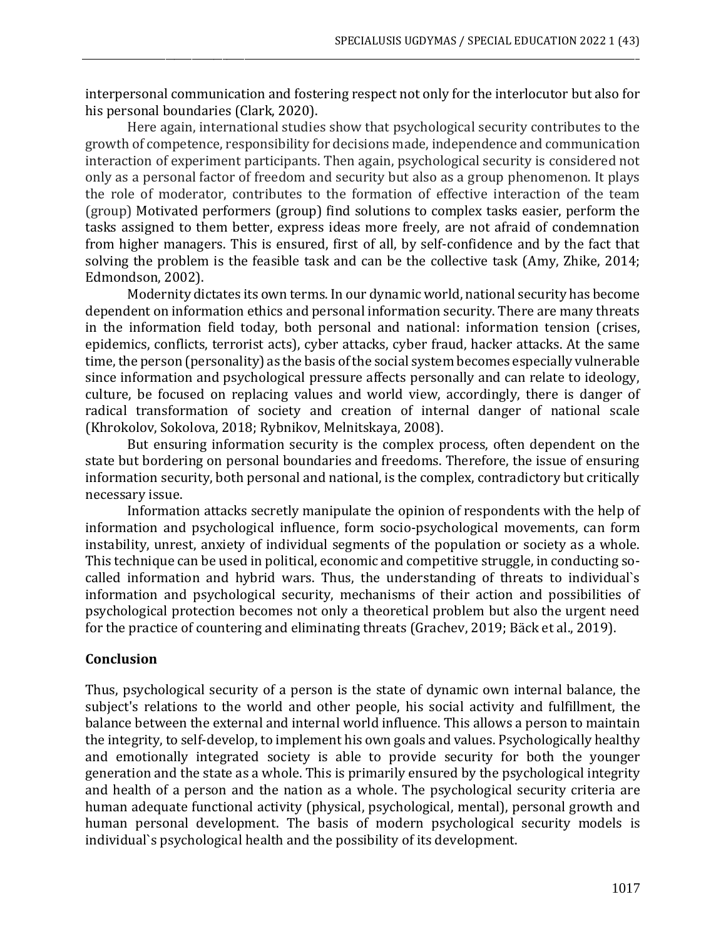interpersonal communication and fostering respect not only for the interlocutor but also for his personal boundaries (Clark, 2020).

\_\_\_\_\_\_\_\_\_\_\_\_\_\_\_\_\_\_\_\_\_\_\_\_\_\_\_\_\_\_\_\_\_\_\_\_\_\_\_\_\_\_\_\_\_\_\_\_\_\_\_\_\_\_\_\_\_\_\_\_\_\_\_\_\_\_\_\_\_\_\_\_\_\_\_\_\_\_\_\_\_\_\_\_\_\_\_\_\_\_\_\_\_\_\_\_\_\_\_\_\_\_\_\_\_\_\_\_\_\_\_\_\_\_\_\_\_\_\_\_\_\_\_\_\_\_\_

Here again, international studies show that psychological security contributes to the growth of competence, responsibility for decisions made, independence and communication interaction of experiment participants. Then again, psychological security is considered not only as a personal factor of freedom and security but also as a group phenomenon. It plays the role of moderator, contributes to the formation of effective interaction of the team (group) Motivated performers (group) find solutions to complex tasks easier, perform the tasks assigned to them better, express ideas more freely, are not afraid of condemnation from higher managers. This is ensured, first of all, by self-confidence and by the fact that solving the problem is the feasible task and can be the collective task (Amy, Zhike, 2014; Edmondson, 2002).

Modernity dictates its own terms. In our dynamic world, national security has become dependent on information ethics and personal information security. There are many threats in the information field today, both personal and national: information tension (crises, epidemics, conflicts, terrorist acts), cyber attacks, cyber fraud, hacker attacks. At the same time, the person (personality) as the basis of the social system becomes especially vulnerable since information and psychological pressure affects personally and can relate to ideology, culture, be focused on replacing values and world view, accordingly, there is danger of radical transformation of society and creation of internal danger of national scale (Khrokolov, Sokolova, 2018; Rybnikov, Melnitskaya, 2008).

But ensuring information security is the complex process, often dependent on the state but bordering on personal boundaries and freedoms. Therefore, the issue of ensuring information security, both personal and national, is the complex, contradictory but critically necessary issue.

Information attacks secretly manipulate the opinion of respondents with the help of information and psychological influence, form socio-psychological movements, can form instability, unrest, anxiety of individual segments of the population or society as a whole. This technique can be used in political, economic and competitive struggle, in conducting socalled information and hybrid wars. Thus, the understanding of threats to individual`s information and psychological security, mechanisms of their action and possibilities of psychological protection becomes not only a theoretical problem but also the urgent need for the practice of countering and eliminating threats (Grachev, 2019; Bäck et al., 2019).

#### **Conclusion**

Thus, psychological security of a person is the state of dynamic own internal balance, the subject's relations to the world and other people, his social activity and fulfillment, the balance between the external and internal world influence. This allows a person to maintain the integrity, to self-develop, to implement his own goals and values. Psychologically healthy and emotionally integrated society is able to provide security for both the younger generation and the state as a whole. This is primarily ensured by the psychological integrity and health of a person and the nation as a whole. The psychological security criteria are human adequate functional activity (physical, psychological, mental), personal growth and human personal development. The basis of modern psychological security models is individual`s psychological health and the possibility of its development.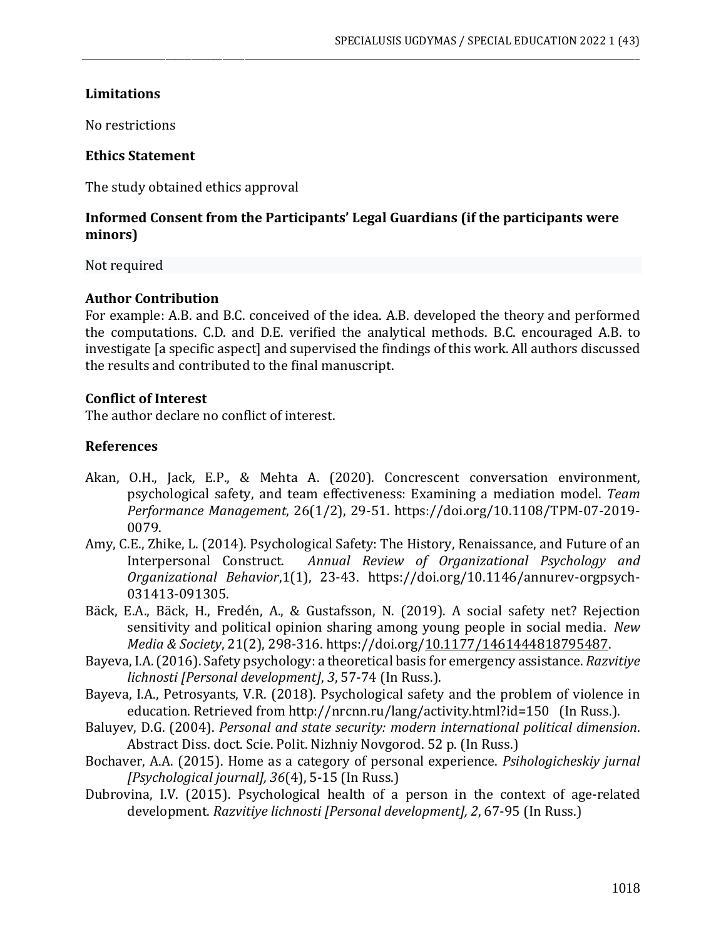#### **Limitations**

No restrictions

#### **Ethics Statement**

The study obtained ethics approval

# **Informed Consent from the Participants' Legal Guardians (if the participants were minors)**

\_\_\_\_\_\_\_\_\_\_\_\_\_\_\_\_\_\_\_\_\_\_\_\_\_\_\_\_\_\_\_\_\_\_\_\_\_\_\_\_\_\_\_\_\_\_\_\_\_\_\_\_\_\_\_\_\_\_\_\_\_\_\_\_\_\_\_\_\_\_\_\_\_\_\_\_\_\_\_\_\_\_\_\_\_\_\_\_\_\_\_\_\_\_\_\_\_\_\_\_\_\_\_\_\_\_\_\_\_\_\_\_\_\_\_\_\_\_\_\_\_\_\_\_\_\_\_

Not required

# **Author Contribution**

For example: A.B. and B.C. conceived of the idea. A.B. developed the theory and performed the computations. C.D. and D.E. verified the analytical methods. B.C. encouraged A.B. to investigate [a specific aspect] and supervised the findings of this work. All authors discussed the results and contributed to the final manuscript.

# **Conflict of Interest**

The author declare no conflict of interest.

# **References**

- [Akan,](https://www.emerald.com/insight/search?q=Obasi%20Haki%20Akan) O.H., [Jack,](https://www.emerald.com/insight/search?q=Eric%20P.%20Jack) E.P., & [Mehta](https://www.emerald.com/insight/search?q=Anju%20Mehta) A. (2020). Concrescent conversation environment, psychological safety, and team effectiveness: Examining a mediation model. *[Team](https://www.emerald.com/insight/publication/issn/1352-7592) Performance [Management](https://www.emerald.com/insight/publication/issn/1352-7592)*, 26(1/2), 29-51. [https://doi.org/10.1108/TPM-07-2019-](https://doi.org/10.1108/TPM-07-2019-0079) [0079.](https://doi.org/10.1108/TPM-07-2019-0079)
- Amy, C.E., Zhike, L. (2014). [Psychological](https://www.annualreviews.org/doi/abs/10.1146/annurev-orgpsych-031413-091305) Safety: The History, Renaissance, and Future of an [Interpersonal](https://www.annualreviews.org/doi/abs/10.1146/annurev-orgpsych-031413-091305) Construct. *Annual Review of Organizational Psychology and Organizational Behavior*,1(1), 23-43. [https://doi.org/10.1146/annurev-orgpsych-](https://doi.org/10.1146/annurev-orgpsych-031413-091305)[031413-091305.](https://doi.org/10.1146/annurev-orgpsych-031413-091305)
- Bäck, E.A., Bäck, H., Fredén, A., & Gustafsson, N. (2019). A social safety net? Rejection sensitivity and political opinion sharing among young people in social media. *New Media & Society*, 21(2), 298-316. https://doi.org[/10.1177/1461444818795487.](https://doi.org/10.1177/1461444818795487)
- Bayeva, I.A.(2016).Safety psychology: a theoretical basis for emergency assistance. *Razvitiye lichnosti [Personal development]*, *3*, 57-74 (In Russ.).
- Bayeva, I.A., Petrosyants, V.R. (2018). Psychological safety and the problem of violence in education. Retrieved from http://nrcnn.ru/lang/activity.html?id=150 (In Russ.).
- Baluyev, D.G. (2004). *Personal and state security: modern international political dimension*. Abstract Diss. doct. Scie. Polit. Nizhniy Novgorod. 52 p. (In Russ.)
- [Bochaver,](https://www.elibrary.ru/author_items.asp?authorid=636803) A.A. (2015). Home as a category of personal experience. *Psihologicheskiy jurnal [Psychological journal], 36*(4), 5-15 (In Russ.)
- Dubrovina, I.V. (2015). Psychological health of a person in the context of age-related development. *Razvitiye lichnosti [Personal development], 2*, 67-95 (In Russ.)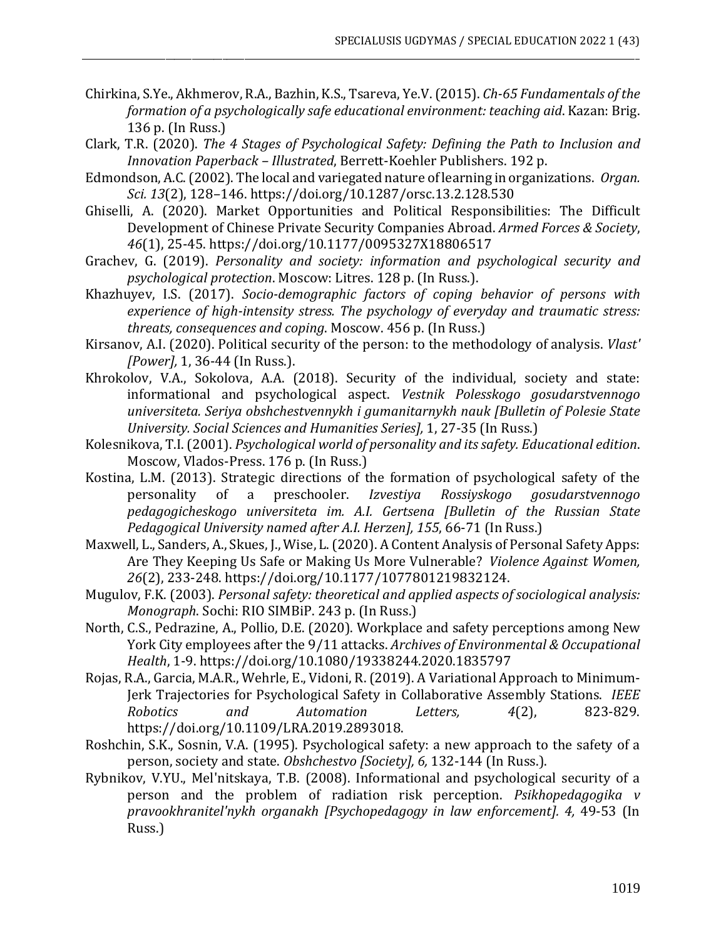Chirkina,S.Ye., Akhmerov, R.A., Bazhin, K.S., Tsareva, Ye.V.(2015). *Ch-65 Fundamentals of the formation of a psychologically safe educational environment: teaching aid*. Kazan: Brig. 136 p. (In Russ.)

\_\_\_\_\_\_\_\_\_\_\_\_\_\_\_\_\_\_\_\_\_\_\_\_\_\_\_\_\_\_\_\_\_\_\_\_\_\_\_\_\_\_\_\_\_\_\_\_\_\_\_\_\_\_\_\_\_\_\_\_\_\_\_\_\_\_\_\_\_\_\_\_\_\_\_\_\_\_\_\_\_\_\_\_\_\_\_\_\_\_\_\_\_\_\_\_\_\_\_\_\_\_\_\_\_\_\_\_\_\_\_\_\_\_\_\_\_\_\_\_\_\_\_\_\_\_\_

- Clark, T.R. (2020). *The 4 Stages of Psychological Safety: Defining the Path to Inclusion and Innovation Paperback – Illustrated*, Berrett-Koehler Publishers. 192 p.
- Edmondson, A.C.(2002). The local and variegated nature of learning in organizations. *Organ. Sci. 13*(2), 128–146. <https://doi.org/10.1287/orsc.13.2.128.530>
- [Ghiselli,](https://journals.sagepub.com/action/doSearch?target=default&ContribAuthorStored=Ghiselli%2C+Andrea) A. (2020). Market Opportunities and Political Responsibilities: The Difficult Development of Chinese Private Security Companies Abroad. *Armed Forces & Society*, *46*(1), 25-45. [https://doi.org/10.1177/0095327X18806517](https://doi.org/10.1177%2F0095327X18806517)
- Grachev, G. (2019). *Personality and society: information and psychological security and psychological protection*. Moscow: Litres. 128 p. (In Russ.).
- Khazhuyev, I.S. (2017). *Socio-demographic factors of coping behavior of persons with experience of high-intensity stress. The psychology of everyday and traumatic stress: threats, consequences and coping*. Moscow. 456 p. (In Russ.)
- Kirsanov, A.I. (2020). Political security of the person: to the methodology of analysis. *Vlast' [Power],* 1, 36-44 (In Russ.).
- Khrokolov, V.A., Sokolova, A.A. (2018). Security of the individual, society and state: informational and psychological aspect. *Vestnik Polesskogo gosudarstvennogo universiteta. Seriya obshchestvennykh i gumanitarnykh nauk [Bulletin of Polesie State University. Social Sciences and Humanities Series],* 1, 27-35 (In Russ.)
- Kolesnikova, T.I. (2001). *Psychological world of personality and itssafety. Educational edition*. Moscow, Vlados-Press. 176 p. (In Russ.)
- Kostina, L.M. (2013). Strategic directions of the formation of psychological safety of the personality of a preschooler. *Izvestiya Rossiyskogo gosudarstvennogo pedagogicheskogo universiteta im. A.I. Gertsena [Bulletin of the Russian State Pedagogical University named after A.I. Herzen], 155*, 66-71 (In Russ.)
- Maxwell, L., Sanders, A., Skues, J., Wise, L. (2020). A Content Analysis of Personal Safety Apps: Are They Keeping Us Safe or Making Us More Vulnerable? *Violence Against Women, 26*(2), 233-248. https://doi.org[/10.1177/1077801219832124.](https://doi.org/10.1177/1077801219832124)
- Mugulov, F.K. (2003). *Personal safety: theoretical and applied aspects of sociological analysis: Monograph*. Sochi: RIO SIMBiP. 243 p. (In Russ.)
- North, C.S., Pedrazine, A., Pollio, D.E. (2020). Workplace and safety perceptions among New York City employees after the 9/11 attacks. *Archives of Environmental & Occupational Health*, 1-9. https://doi.org[/10.1080/19338244.2020.1835797](https://doi.org/10.1080/19338244.2020.1835797)
- Rojas, R.A., Garcia, M.A.R., Wehrle, E., Vidoni, R. (2019). A Variational Approach to Minimum-Jerk Trajectories for Psychological Safety in Collaborative Assembly Stations. *IEEE Robotics and Automation Letters, 4*(2), 823-829. https://doi.org/10.1109/LRA.2019.2893018.
- Roshchin, S.K., Sosnin, V.A. (1995). Psychological safety: a new approach to the safety of a person, society and state. *Obshchestvo [Society], 6,* 132-144 (In Russ.).
- Rybnikov, V.YU., Mel'nitskaya, T.B. (2008). Informational and psychological security of a person and the problem of radiation risk perception. *Psikhopedagogika v pravookhranitel'nykh organakh [Psychopedagogy in law enforcement]. 4,* 49-53 (In Russ.)